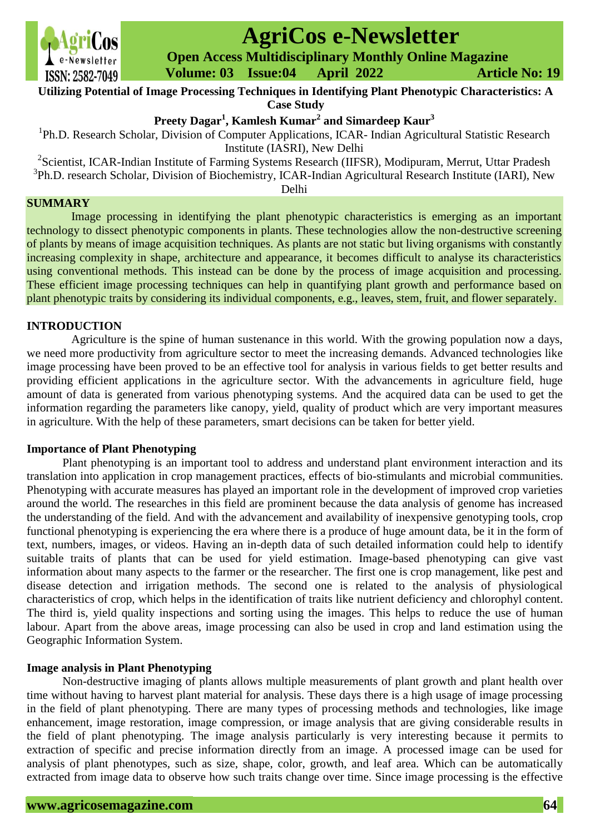

# **AgriCos e-Newsletter**

 **Open Access Multidisciplinary Monthly Online Magazine**

 **Volume: 03 Issue:04 April 2022 Article No: 19**

**Utilizing Potential of Image Processing Techniques in Identifying Plant Phenotypic Characteristics: A Case Study**

**Preety Dagar<sup>1</sup> , Kamlesh Kumar<sup>2</sup> and Simardeep Kaur<sup>3</sup>**

<sup>1</sup>Ph.D. Research Scholar, Division of Computer Applications, ICAR- Indian Agricultural Statistic Research Institute (IASRI), New Delhi

<sup>2</sup> Scientist, ICAR-Indian Institute of Farming Systems Research (IIFSR), Modipuram, Merrut, Uttar Pradesh <sup>3</sup>Ph.D. research Scholar, Division of Biochemistry, ICAR-Indian Agricultural Research Institute (IARI), New Delhi

# **SUMMARY**

Image processing in identifying the plant phenotypic characteristics is emerging as an important technology to dissect phenotypic components in plants. These technologies allow the non-destructive screening of plants by means of image acquisition techniques. As plants are not static but living organisms with constantly increasing complexity in shape, architecture and appearance, it becomes difficult to analyse its characteristics using conventional methods. This instead can be done by the process of image acquisition and processing. These efficient image processing techniques can help in quantifying plant growth and performance based on plant phenotypic traits by considering its individual components, e.g., leaves, stem, fruit, and flower separately.

# **INTRODUCTION**

Agriculture is the spine of human sustenance in this world. With the growing population now a days, we need more productivity from agriculture sector to meet the increasing demands. Advanced technologies like image processing have been proved to be an effective tool for analysis in various fields to get better results and providing efficient applications in the agriculture sector. With the advancements in agriculture field, huge amount of data is generated from various phenotyping systems. And the acquired data can be used to get the information regarding the parameters like canopy, yield, quality of product which are very important measures in agriculture. With the help of these parameters, smart decisions can be taken for better yield.

# **Importance of Plant Phenotyping**

Plant phenotyping is an important tool to address and understand plant environment interaction and its translation into application in crop management practices, effects of bio-stimulants and microbial communities. Phenotyping with accurate measures has played an important role in the development of improved crop varieties around the world. The researches in this field are prominent because the data analysis of genome has increased the understanding of the field. And with the advancement and availability of inexpensive genotyping tools, crop functional phenotyping is experiencing the era where there is a produce of huge amount data, be it in the form of text, numbers, images, or videos. Having an in-depth data of such detailed information could help to identify suitable traits of plants that can be used for yield estimation. Image-based phenotyping can give vast information about many aspects to the farmer or the researcher. The first one is crop management, like pest and disease detection and irrigation methods. The second one is related to the analysis of physiological characteristics of crop, which helps in the identification of traits like nutrient deficiency and chlorophyl content. The third is, yield quality inspections and sorting using the images. This helps to reduce the use of human labour. Apart from the above areas, image processing can also be used in crop and land estimation using the Geographic Information System.

# **Image analysis in Plant Phenotyping**

Non-destructive imaging of plants allows multiple measurements of plant growth and plant health over time without having to harvest plant material for analysis. These days there is a high usage of image processing in the field of plant phenotyping. There are many types of processing methods and technologies, like image enhancement, image restoration, image compression, or image analysis that are giving considerable results in the field of plant phenotyping. The image analysis particularly is very interesting because it permits to extraction of specific and precise information directly from an image. A processed image can be used for analysis of plant phenotypes, such as size, shape, color, growth, and leaf area. Which can be automatically extracted from image data to observe how such traits change over time. Since image processing is the effective

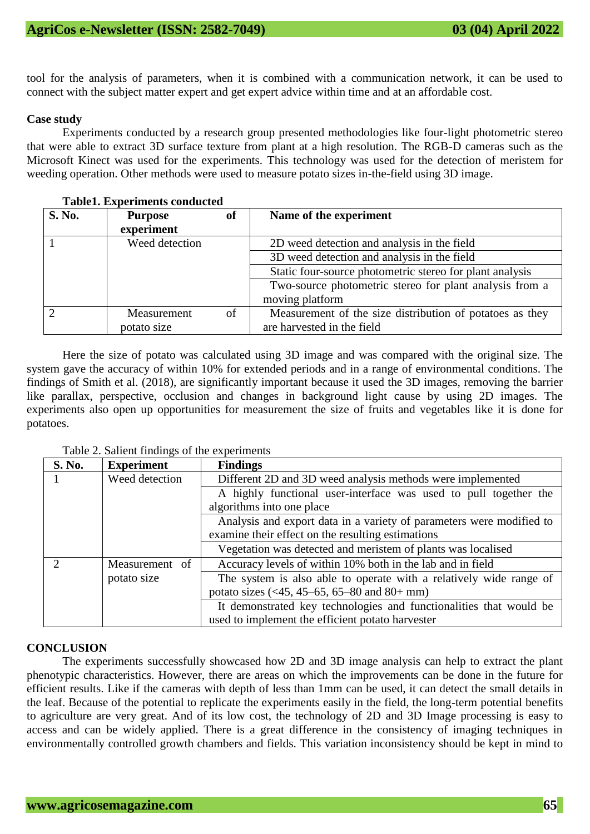tool for the analysis of parameters, when it is combined with a communication network, it can be used to connect with the subject matter expert and get expert advice within time and at an affordable cost.

#### **Case study**

Experiments conducted by a research group presented methodologies like four-light photometric stereo that were able to extract 3D surface texture from plant at a high resolution. The RGB-D cameras such as the Microsoft Kinect was used for the experiments. This technology was used for the detection of meristem for weeding operation. Other methods were used to measure potato sizes in-the-field using 3D image.

| Tabiel, Experiments conducted |                |    |                                                          |  |
|-------------------------------|----------------|----|----------------------------------------------------------|--|
| <b>S. No.</b>                 | <b>Purpose</b> | of | Name of the experiment                                   |  |
|                               | experiment     |    |                                                          |  |
|                               | Weed detection |    | 2D weed detection and analysis in the field              |  |
|                               |                |    | 3D weed detection and analysis in the field              |  |
|                               |                |    | Static four-source photometric stereo for plant analysis |  |
|                               |                |    | Two-source photometric stereo for plant analysis from a  |  |
|                               |                |    | moving platform                                          |  |
|                               | Measurement    | of | Measurement of the size distribution of potatoes as they |  |
|                               | potato size    |    | are harvested in the field                               |  |

#### **Table1. Experiments conducted**

Here the size of potato was calculated using 3D image and was compared with the original size. The system gave the accuracy of within 10% for extended periods and in a range of environmental conditions. The findings of Smith et al. (2018), are significantly important because it used the 3D images, removing the barrier like parallax, perspective, occlusion and changes in background light cause by using 2D images. The experiments also open up opportunities for measurement the size of fruits and vegetables like it is done for potatoes.

| <b>S. No.</b> | <b>Experiment</b> | <b>Findings</b>                                                         |
|---------------|-------------------|-------------------------------------------------------------------------|
|               | Weed detection    | Different 2D and 3D weed analysis methods were implemented              |
|               |                   | A highly functional user-interface was used to pull together the        |
|               |                   | algorithms into one place                                               |
|               |                   | Analysis and export data in a variety of parameters were modified to    |
|               |                   | examine their effect on the resulting estimations                       |
|               |                   | Vegetation was detected and meristem of plants was localised            |
| ∍             | Measurement of    | Accuracy levels of within 10% both in the lab and in field              |
|               | potato size       | The system is also able to operate with a relatively wide range of      |
|               |                   | potato sizes $(\le 45, 45 - 65, 65 - 80, \text{ and } 80 + \text{ mm})$ |
|               |                   | It demonstrated key technologies and functionalities that would be      |
|               |                   | used to implement the efficient potato harvester                        |

Table 2. Salient findings of the experiments

#### **CONCLUSION**

The experiments successfully showcased how 2D and 3D image analysis can help to extract the plant phenotypic characteristics. However, there are areas on which the improvements can be done in the future for efficient results. Like if the cameras with depth of less than 1mm can be used, it can detect the small details in the leaf. Because of the potential to replicate the experiments easily in the field, the long-term potential benefits to agriculture are very great. And of its low cost, the technology of 2D and 3D Image processing is easy to access and can be widely applied. There is a great difference in the consistency of imaging techniques in environmentally controlled growth chambers and fields. This variation inconsistency should be kept in mind to